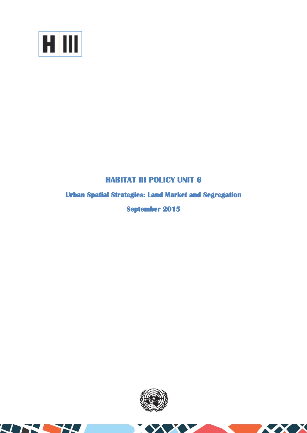

THE H

# **HABITAT III POLICY UNIT 6**

# **Urban Spatial Strategies: Land Market and Segregation**

**September 2015** 



**XXX**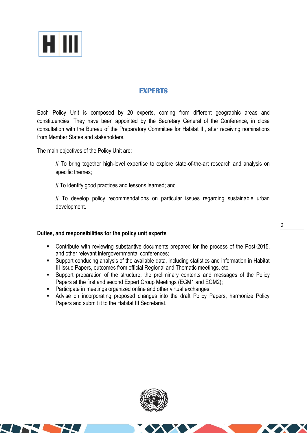

# **EXPERTS**

Each Policy Unit is composed by 20 experts, coming from different geographic areas and constituencies. They have been appointed by the Secretary General of the Conference, in close consultation with the Bureau of the Preparatory Committee for Habitat III, after receiving nominations from Member States and stakeholders.

The main objectives of the Policy Unit are:

// To bring together high-level expertise to explore state-of-the-art research and analysis on specific themes;

// To identify good practices and lessons learned; and

// To develop policy recommendations on particular issues regarding sustainable urban development.

## **Duties, and responsibilities for the policy unit experts**

- Contribute with reviewing substantive documents prepared for the process of the Post-2015, and other relevant intergovernmental conferences;
- Support conducing analysis of the available data, including statistics and information in Habitat III Issue Papers, outcomes from official Regional and Thematic meetings, etc.
- Support preparation of the structure, the preliminary contents and messages of the Policy Papers at the first and second Expert Group Meetings (EGM1 and EGM2);
- **Participate in meetings organized online and other virtual exchanges;**
- Advise on incorporating proposed changes into the draft Policy Papers, harmonize Policy Papers and submit it to the Habitat III Secretariat.



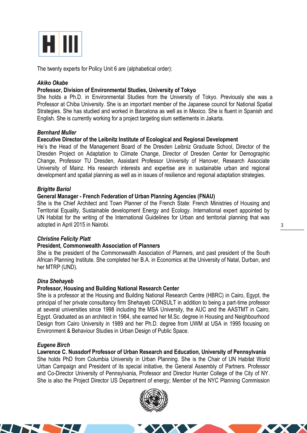

The twenty experts for Policy Unit 6 are (alphabetical order):

## *Akiko Okabe*

## **Professor, Division of Environmental Studies, University of Tokyo**

She holds a Ph.D. in Environmental Studies from the University of Tokyo. Previously she was a Professor at Chiba University. She is an important member of the Japanese council for National Spatial Strategies. She has studied and worked in Barcelona as well as in Mexico. She is fluent in Spanish and English. She is currently working for a project targeting slum settlements in Jakarta.

## *Bernhard Muller*

## **Executive Director of the Leibnitz Institute of Ecological and Regional Development**

He's the Head of the Management Board of the Dresden Leibniz Graduate School, Director of the Dresden Project on Adaptation to Climate Change, Director of Dresden Center for Demographic Change, Professor TU Dresden, Assistant Professor University of Hanover, Research Associate University of Mainz. His research interests and expertise are in sustainable urban and regional development and spatial planning as well as in issues of resilience and regional adaptation strategies.

#### *Brigitte Bariol*

#### **General Manager - French Federation of Urban Planning Agencies (FNAU)**

She is the Chief Architect and Town Planner of the French State: French Ministries of Housing and Territorial Equality, Sustainable development Energy and Ecology. International expert appointed by UN Habitat for the writing of the International Guidelines for Urban and territorial planning that was adopted in April 2015 in Nairobi.

#### *Christine Felicity Platt*

#### **President, Commonwealth Association of Planners**

She is the president of the Commonwealth Association of Planners, and past president of the South African Planning Institute. She completed her B.A. in Economics at the University of Natal, Durban, and her MTRP (UND).

#### *Dina Shehayeb*

#### **Professor, Housing and Building National Research Center**

She is a professor at the Housing and Building National Research Centre (HBRC) in Cairo, Egypt, the principal of her private consultancy firm Shehayeb CONSULT in addition to being a part-time professor at several universities since 1998 including the MSA University, the AUC and the AASTMT in Cairo, Egypt. Graduated as an architect in 1984, she earned her M.Sc. degree in Housing and Neighbourhood Design from Cairo University in 1989 and her Ph.D. degree from UWM at USA in 1995 focusing on Environment & Behaviour Studies in Urban Design of Public Space.

#### *Eugene Birch*

**Lawrence C. Nussdorf Professor of Urban Research and Education, University of Pennsylvania** She holds PhD from Columbia University in Urban Planning. She is the Chair of UN Habitat World Urban Campaign and President of its special initiative, the General Assembly of Partners. Professor and Co-Director University of Pennsylvania, Professor and Director Hunter College of the City of NY. She is also the Project Director US Department of energy; Member of the NYC Planning Commission

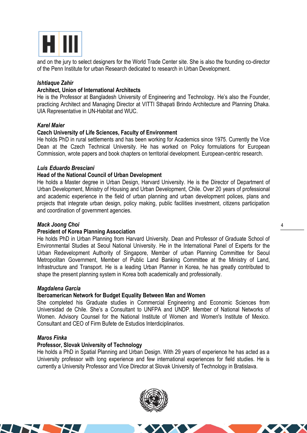

and on the jury to select designers for the World Trade Center site. She is also the founding co-director of the Penn Institute for urban Research dedicated to research in Urban Development.

# *Ishtiaque Zahir*

## **Architect, Union of International Architects**

He is the Professor at Bangladesh University of Engineering and Technology. He's also the Founder, practicing Architect and Managing Director at VITTI Sthapati Brindo Architecture and Planning Dhaka. UIA Representative in UN-Habitat and WUC.

## *Karel Maier*

# **Czech University of Life Sciences, Faculty of Environment**

He holds PhD in rural settlements and has been working for Academics since 1975. Currently the Vice Dean at the Czech Technical University. He has worked on Policy formulations for European Commission, wrote papers and book chapters on territorial development. European-centric research.

## *Luis Eduardo Bresciani*

# **Head of the National Council of Urban Development**

He holds a Master degree in Urban Design, Harvard University. He is the Director of Department of Urban Development, Ministry of Housing and Urban Development, Chile. Over 20 years of professional and academic experience in the field of urban planning and urban development polices, plans and projects that integrate urban design, policy making, public facilities investment, citizens participation and coordination of government agencies.

## *Mack Joong Choi*

## **President of Korea Planning Association**

He holds PhD in Urban Planning from Harvard University. Dean and Professor of Graduate School of Environmental Studies at Seoul National University. He in the International Panel of Experts for the Urban Redevelopment Authority of Singapore, Member of urban Planning Committee for Seoul Metropolitan Government, Member of Public Land Banking Committee at the Ministry of Land, Infrastructure and Transport. He is a leading Urban Planner in Korea, he has greatly contributed to shape the present planning system in Korea both academically and professionally.

## *Magdalena Garcia*

## **Iberoamerican Network for Budget Equality Between Man and Women**

She completed his Graduate studies in Commercial Engineering and Economic Sciences from Universidad de Chile. She's a Consultant to UNFPA and UNDP. Member of National Networks of Women. Advisory Counsel for the National Institute of Women and Women's Institute of Mexico. Consultant and CEO of Firm Bufete de Estudios Interdiciplinarios.

## *Maros Finka*

## **Professor, Slovak University of Technology**

He holds a PhD in Spatial Planning and Urban Design. With 29 years of experience he has acted as a University professor with long experience and few international experiences for field studies. He is currently a University Professor and Vice Director at Slovak University of Technology in Bratislava.

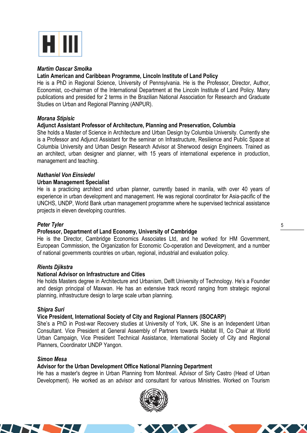

## *Martim Oascar Smolka*

# **Latin American and Caribbean Programme, Lincoln Institute of Land Policy**

He is a PhD in Regional Science, University of Pennsylvania. He is the Professor, Director, Author, Economist, co-chairman of the International Department at the Lincoln Institute of Land Policy. Many publications and presided for 2 terms in the Brazilian National Association for Research and Graduate Studies on Urban and Regional Planning (ANPUR).

# *Morana Stipisic*

# **Adjunct Assistant Professor of Architecture, Planning and Preservation, Columbia**

She holds a Master of Science in Architecture and Urban Design by Columbia University. Currently she is a Professor and Adjunct Assistant for the seminar on Infrastructure, Resilience and Public Space at Columbia University and Urban Design Research Advisor at Sherwood design Engineers. Trained as an architect, urban designer and planner, with 15 years of international experience in production, management and teaching.

# *Nathaniel Von Einsiedel*

## **Urban Management Specialist**

He is a practicing architect and urban planner, currently based in manila, with over 40 years of experience in urban development and management. He was regional coordinator for Asia-pacific of the UNCHS, UNDP, World Bank urban management programme where he supervised technical assistance projects in eleven developing countries.

## *Peter Tyler*

## **Professor, Department of Land Economy, University of Cambridge**

He is the Director, Cambridge Economics Associates Ltd, and he worked for HM Government, European Commission, the Organization for Economic Co-operation and Development, and a number of national governments countries on urban, regional, industrial and evaluation policy.

## *Rients Djikstra*

## **National Advisor on Infrastructure and Cities**

He holds Masters degree in Architecture and Urbanism, Delft University of Technology. He's a Founder and design principal of Maxwan. He has an extensive track record ranging from strategic regional planning, infrastructure design to large scale urban planning.

## *Shipra Suri*

## **Vice President, International Society of City and Regional Planners (ISOCARP)**

She's a PhD in Post-war Recovery studies at University of York, UK. She is an Independent Urban Consultant. Vice President at General Assembly of Partners towards Habitat III, Co Chair at World Urban Campaign, Vice President Technical Assistance, International Society of City and Regional Planners, Coordinator UNDP Yangon.

#### *Simon Mesa*

## **Advisor for the Urban Development Office National Planning Department**

He has a master's degree in Urban Planning from Montreal. Advisor of Sirly Castro (Head of Urban Development). He worked as an advisor and consultant for various Ministries. Worked on Tourism